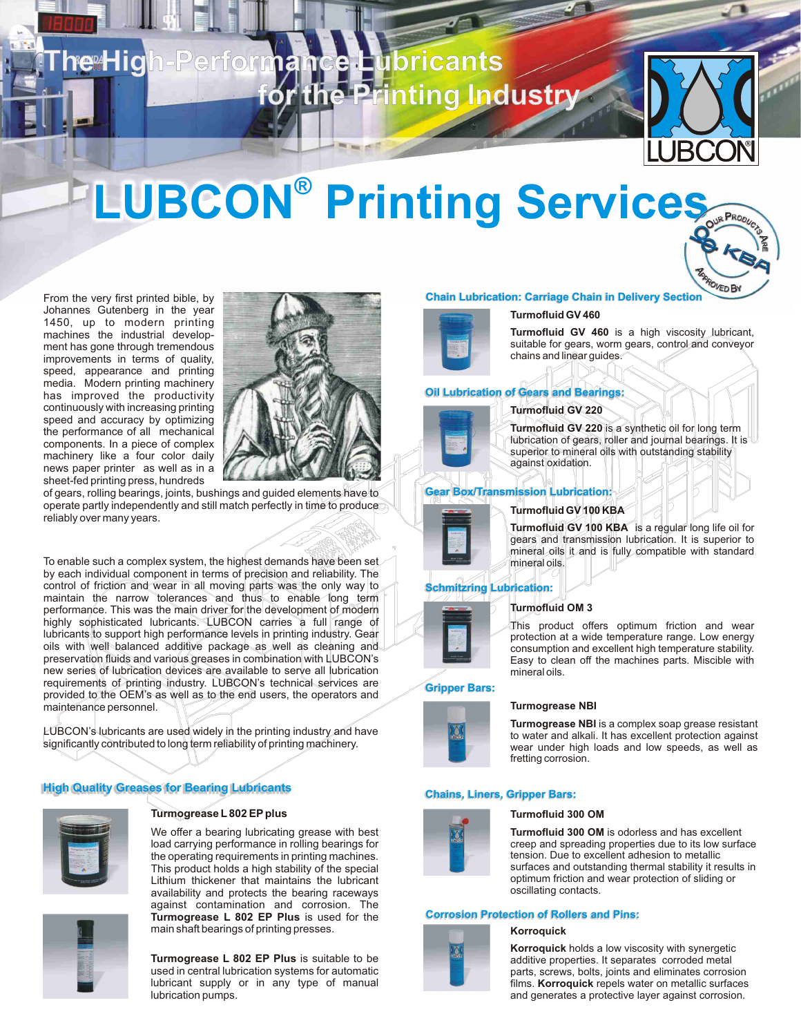



ROVED BY

# **LUBCON® Printing Services**

From the very first printed bible, by Johannes Gutenberg in the year 1450, up to modern printing machines the industrial development has gone through tremendous improvements in terms of quality, speed, appearance and printing media. Modern printing machinery has improved the productivity continuously with increasing printing speed and accuracy by optimizing the performance of all mechanical components. In a piece of complex machinery like a four color daily news paper printer as well as in a sheet-fed printing press, hundreds



of gears, rolling bearings, joints, bushings and guided elements have to operate partly independently and still match perfectly in time to produce reliably over many years.

To enable such a complex system, the highest demands have been set by each individual component in terms of precision and reliability. The control of friction and wear in all moving parts was the only way to maintain the narrow tolerances and thus to enable long term performance. This was the main driver for the development of modern highly sophisticated lubricants. LUBCON carries a full range of lubricants to support high performance levels in printing industry. Gear oils with well balanced additive package as well as cleaning and preservation fluids and various greases in combination with LUBCON's new series of lubrication devices are available to serve all lubrication requirements of printing industry. LUBCON's technical services are provided to the OEM's as well as to the end users, the operators and maintenance personnel.

LUBCON's lubricants are used widely in the printing industry and have significantly contributed to long term reliability of printing machinery.

# **High Quality Greases for Bearing Lubricants**



# **Turmogrease L802 EPplus**

We offer a bearing lubricating grease with best load carrying performance in rolling bearings for the operating requirements in printing machines. This product holds a high stability of the special Lithium thickener that maintains the lubricant availability and protects the bearing raceways against contamination and corrosion. The **Turmogrease L 802 EP Plus** is used for the main shaft bearings of printing presses.



**Turmogrease L 802 EP Plus** is suitable to be used in central lubrication systems for automatic lubricant supply or in any type of manual lubrication pumps.

# **Chain Lubrication: Carriage Chain in Delivery Section**

# **Turmofluid GV 460**



**Turmofluid GV 460** is a high viscosity lubricant, suitable for gears, worm gears, control and conveyor chains and linear guides.

# **Oil Lubrication of Gears and Bearings:**

# **Turmofluid GV 220**



**Turmofluid GV 220** is a synthetic oil for long term lubrication of gears, roller and journal bearings. It is superior to mineral oils with outstanding stability against oxidation.

# **Gear Box/Transmission Lubrication:**



# **Turmofluid GV 100 KBA**

**Turmofluid GV 100 KBA** is a regular long life oil for gears and transmission lubrication. It is superior to mineral oils it and is fully compatible with standard mineral oils.

# **Schmitzring Lubrication:**



This product offers optimum friction and wear protection at a wide temperature range. Low energy consumption and excellent high temperature stability. Easy to clean off the machines parts. Miscible with mineral oils.

# **Gripper Bars:**



# **Turmogrease NBI** is a complex soap grease resistant

to water and alkali. It has excellent protection against wear under high loads and low speeds, as well as fretting corrosion.

# **Chains, Liners, Gripper Bars:**



# **Turmofluid 300 OM**

**Turmogrease NBI** 

**Turmofluid 300 OM** is odorless and has excellent creep and spreading properties due to its low surface tension. Due to excellent adhesion to metallic surfaces and outstanding thermal stability it results in optimum friction and wear protection of sliding or oscillating contacts.

# **Corrosion Protection of Rollers and Pins:**

### **Korroquick**



**Korroquick** holds a low viscosity with synergetic additive properties. It separates corroded metal parts, screws, bolts, joints and eliminates corrosion films. **Korroquick** repels water on metallic surfaces and generates a protective layer against corrosion.